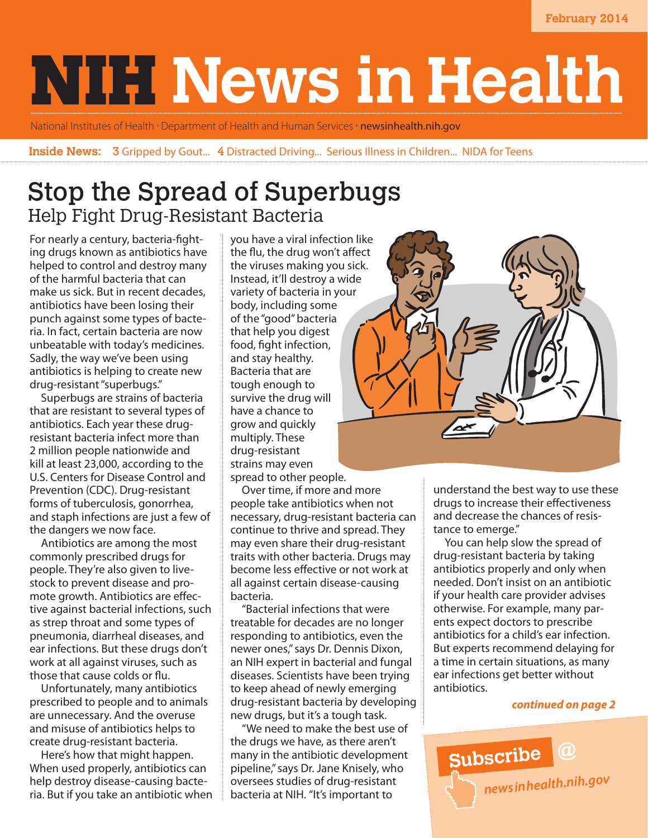# **NIH News in Health**

National Institutes of Health · Department of Health and Human Services · newsinhealth.nih.gov

**Inside News: 3** Gripped by Gout... 4 Distracted Driving... Serious Illness in Children... NIDA for Teens

# Stop the Spread of Superbugs Help Fight Drug-Resistant Bacteria

For nearly a century, bacteria-fighting drugs known as antibiotics have helped to control and destroy many of the harmful bacteria that can make us sick. But in recent decades, antibiotics have been losing their punch against some types of bacteria. In fact, certain bacteria are now unbeatable with today's medicines. Sadly, the way we've been using antibiotics is helping to create new drug-resistant "superbugs."

Superbugs are strains of bacteria that are resistant to several types of antibiotics. Each year these drugresistant bacteria infect more than 2 million people nationwide and kill at least 23,000, according to the U.S. Centers for Disease Control and Prevention (CDC). Drug-resistant forms of tuberculosis, gonorrhea, and staph infections are just a few of the dangers we now face.

Antibiotics are among the most commonly prescribed drugs for people. They're also given to livestock to prevent disease and promote growth. Antibiotics are effective against bacterial infections, such as strep throat and some types of pneumonia, diarrheal diseases, and ear infections. But these drugs don't work at all against viruses, such as those that cause colds or flu.

Unfortunately, many antibiotics prescribed to people and to animals are unnecessary. And the overuse and misuse of antibiotics helps to create drug-resistant bacteria.

Here's how that might happen. When used properly, antibiotics can help destroy disease-causing bacteria. But if you take an antibiotic when you have a viral infection like the flu, the drug won't affect the viruses making you sick. Instead, it'll destroy a wide variety of bacteria in your body, including some of the "good" bacteria that help you digest food, fight infection, and stay healthy. Bacteria that are tough enough to survive the drug will have a chance to grow and quickly multiply. These drug-resistant strains may even spread to other people.

Over time, if more and more people take antibiotics when not necessary, drug-resistant bacteria can continue to thrive and spread. They may even share their drug-resistant traits with other bacteria. Drugs may become less effective or not work at all against certain disease-causing bacteria.

"Bacterial infections that were treatable for decades are no longer responding to antibiotics, even the newer ones," says Dr. Dennis Dixon, an NIH expert in bacterial and fungal diseases. Scientists have been trying to keep ahead of newly emerging drug-resistant bacteria by developing new drugs, but it's a tough task.

"We need to make the best use of the drugs we have, as there aren't many in the antibiotic development pipeline," says Dr. Jane Knisely, who oversees studies of drug-resistant bacteria at NIH. "It's important to



understand the best way to use these drugs to increase their effectiveness and decrease the chances of resistance to emerge."

You can help slow the spread of drug-resistant bacteria by taking antibiotics properly and only when needed. Don't insist on an antibiotic if your health care provider advises otherwise. For example, many parents expect doctors to prescribe antibiotics for a child's ear infection. But experts recommend delaying for a time in certain situations, as many ear infections get better without antibiotics.

### *continued on page 2*

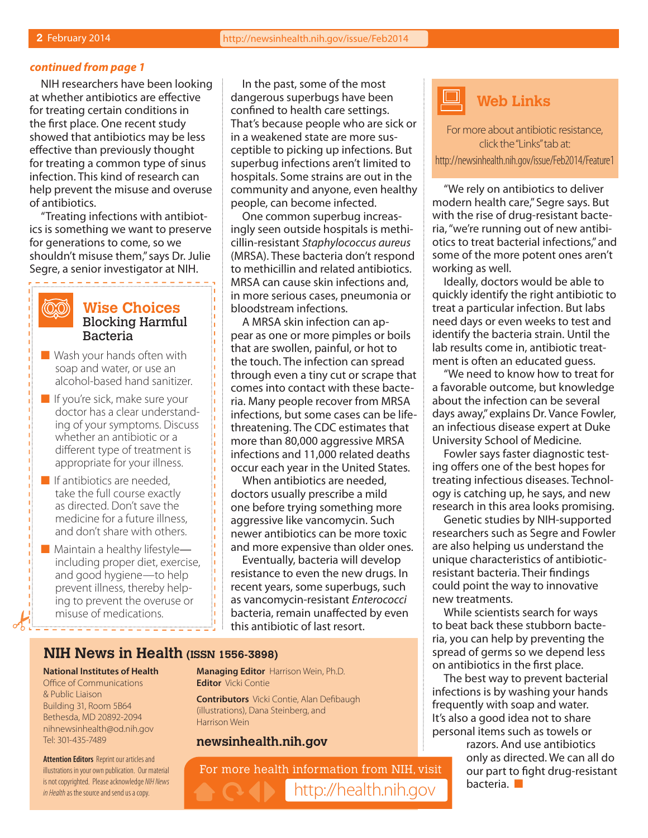### *continued from page 1*

NIH researchers have been looking at whether antibiotics are effective for treating certain conditions in the first place. One recent study showed that antibiotics may be less effective than previously thought for treating a common type of sinus infection. This kind of research can help prevent the misuse and overuse of antibiotics.

"Treating infections with antibiotics is something we want to preserve for generations to come, so we shouldn't misuse them," says Dr. Julie Segre, a senior investigator at NIH.

. . . . . . . . . . . . .

(QQ)

### **Wise Choices** Blocking Harmful Bacteria

- $\blacksquare$  Wash your hands often with soap and water, or use an alcohol-based hand sanitizer.
- $\blacksquare$  If you're sick, make sure your doctor has a clear understanding of your symptoms. Discuss whether an antibiotic or a different type of treatment is appropriate for your illness.
- $\blacksquare$  If antibiotics are needed, take the full course exactly as directed. Don't save the medicine for a future illness, and don't share with others.
- $\blacksquare$  Maintain a healthy lifestyle including proper diet, exercise, and good hygiene—to help prevent illness, thereby helping to prevent the overuse or misuse of medications.

In the past, some of the most dangerous superbugs have been confined to health care settings. That's because people who are sick or in a weakened state are more susceptible to picking up infections. But superbug infections aren't limited to hospitals. Some strains are out in the community and anyone, even healthy people, can become infected.

One common superbug increasingly seen outside hospitals is methicillin-resistant *Staphylococcus aureus* (MRSA). These bacteria don't respond to methicillin and related antibiotics. MRSA can cause skin infections and, in more serious cases, pneumonia or bloodstream infections.

A MRSA skin infection can appear as one or more pimples or boils that are swollen, painful, or hot to the touch. The infection can spread through even a tiny cut or scrape that comes into contact with these bacteria. Many people recover from MRSA infections, but some cases can be lifethreatening. The CDC estimates that more than 80,000 aggressive MRSA infections and 11,000 related deaths occur each year in the United States.

When antibiotics are needed, doctors usually prescribe a mild one before trying something more aggressive like vancomycin. Such newer antibiotics can be more toxic and more expensive than older ones.

Eventually, bacteria will develop resistance to even the new drugs. In recent years, some superbugs, such as vancomycin-resistant *Enterococci* bacteria, remain unaffected by even this antibiotic of last resort.

### **NIH News in Health (ISSN 1556-3898)**

#### **National Institutes of Health**

Office of Communications & Public Liaison Building 31, Room 5B64 Bethesda, MD 20892-2094 nihnewsinhealth@od.nih.gov Tel: 301-435-7489

**Attention Editors** Reprint our articles and illustrations in your own publication. Our material is not copyrighted. Please acknowledge *NIH News in Health* as the source and send us a copy.

**Managing Editor** Harrison Wein, Ph.D. **Editor** Vicki Contie

**Contributors** Vicki Contie, Alan Defibaugh (illustrations), Dana Steinberg, and Harrison Wein

### **newsinhealth.nih.gov**

For more health information from NIH, visit http://health.nih.gov



For more about antibiotic resistance, click the "Links" tab at:

http://newsinhealth.nih.gov/issue/Feb2014/Feature1

"We rely on antibiotics to deliver modern health care," Segre says. But with the rise of drug-resistant bacteria, "we're running out of new antibiotics to treat bacterial infections," and some of the more potent ones aren't working as well.

Ideally, doctors would be able to quickly identify the right antibiotic to treat a particular infection. But labs need days or even weeks to test and identify the bacteria strain. Until the lab results come in, antibiotic treatment is often an educated guess.

"We need to know how to treat for a favorable outcome, but knowledge about the infection can be several days away," explains Dr. Vance Fowler, an infectious disease expert at Duke University School of Medicine.

Fowler says faster diagnostic testing offers one of the best hopes for treating infectious diseases. Technology is catching up, he says, and new research in this area looks promising.

Genetic studies by NIH-supported researchers such as Segre and Fowler are also helping us understand the unique characteristics of antibioticresistant bacteria. Their findings could point the way to innovative new treatments.

While scientists search for ways to beat back these stubborn bacteria, you can help by preventing the spread of germs so we depend less on antibiotics in the first place.

The best way to prevent bacterial infections is by washing your hands frequently with soap and water. It's also a good idea not to share personal items such as towels or

razors. And use antibiotics only as directed. We can all do our part to fight drug-resistant  $b$ acteria.  $\blacksquare$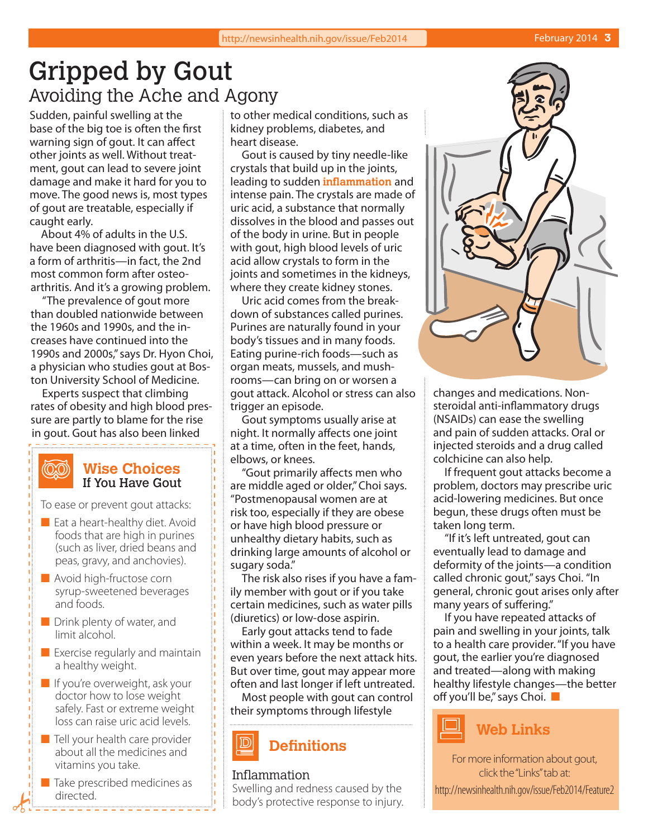# Gripped by Gout Avoiding the Ache and Agony

Sudden, painful swelling at the base of the big toe is often the first warning sign of gout. It can affect other joints as well. Without treatment, gout can lead to severe joint damage and make it hard for you to move. The good news is, most types of gout are treatable, especially if caught early.

About 4% of adults in the U.S. have been diagnosed with gout. It's a form of arthritis—in fact, the 2nd most common form after osteoarthritis. And it's a growing problem.

"The prevalence of gout more than doubled nationwide between the 1960s and 1990s, and the increases have continued into the 1990s and 2000s," says Dr. Hyon Choi, a physician who studies gout at Boston University School of Medicine.

Experts suspect that climbing rates of obesity and high blood pressure are partly to blame for the rise in gout. Gout has also been linked

-------

#### **QO Wise Choices** If You Have Gout

To ease or prevent gout attacks:

- $\blacksquare$  Eat a heart-healthy diet. Avoid foods that are high in purines (such as liver, dried beans and peas, gravy, and anchovies).
- $\blacksquare$  Avoid high-fructose corn syrup-sweetened beverages and foods.
- $\blacksquare$  Drink plenty of water, and limit alcohol.
- $\blacksquare$  Exercise regularly and maintain a healthy weight.
- $\blacksquare$  If you're overweight, ask your doctor how to lose weight safely. Fast or extreme weight loss can raise uric acid levels.
- $\blacksquare$  Tell your health care provider about all the medicines and vitamins you take.
- $\blacksquare$  Take prescribed medicines as directed.

to other medical conditions, such as kidney problems, diabetes, and heart disease.

Gout is caused by tiny needle-like crystals that build up in the joints, leading to sudden **inflammation** and intense pain. The crystals are made of uric acid, a substance that normally dissolves in the blood and passes out of the body in urine. But in people with gout, high blood levels of uric acid allow crystals to form in the joints and sometimes in the kidneys, where they create kidney stones.

Uric acid comes from the breakdown of substances called purines. Purines are naturally found in your body's tissues and in many foods. Eating purine-rich foods—such as organ meats, mussels, and mushrooms—can bring on or worsen a gout attack. Alcohol or stress can also trigger an episode.

Gout symptoms usually arise at night. It normally affects one joint at a time, often in the feet, hands, elbows, or knees.

"Gout primarily affects men who are middle aged or older," Choi says. "Postmenopausal women are at risk too, especially if they are obese or have high blood pressure or unhealthy dietary habits, such as drinking large amounts of alcohol or sugary soda."

The risk also rises if you have a family member with gout or if you take certain medicines, such as water pills (diuretics) or low-dose aspirin.

Early gout attacks tend to fade within a week. It may be months or even years before the next attack hits. But over time, gout may appear more often and last longer if left untreated.

Most people with gout can control their symptoms through lifestyle

# **Definitions**

### Inflammation

Swelling and redness caused by the body's protective response to injury.



changes and medications. Nonsteroidal anti-inflammatory drugs (NSAIDs) can ease the swelling and pain of sudden attacks. Oral or injected steroids and a drug called colchicine can also help.

If frequent gout attacks become a problem, doctors may prescribe uric acid-lowering medicines. But once begun, these drugs often must be taken long term.

"If it's left untreated, gout can eventually lead to damage and deformity of the joints—a condition called chronic gout," says Choi. "In general, chronic gout arises only after many years of suffering."

If you have repeated attacks of pain and swelling in your joints, talk to a health care provider. "If you have gout, the earlier you're diagnosed and treated—along with making healthy lifestyle changes—the better off you'll be," says Choi.  $\blacksquare$ 



For more information about gout, click the "Links" tab at:

http://newsinhealth.nih.gov/issue/Feb2014/Feature2